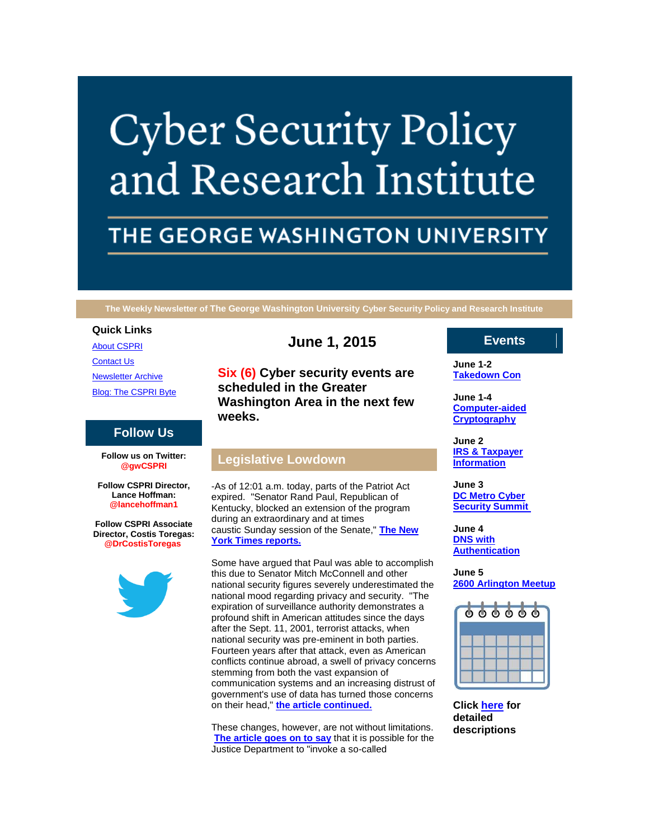# **Cyber Security Policy** and Research Institute

# THE GEORGE WASHINGTON UNIVERSITY

**The Weekly Newsletter of The George Washington University Cyber Security Policy and Research Institute**

#### **Quick Links**

[About CSPRI](http://r20.rs6.net/tn.jsp?f=001j4NONo36K4IxVdtoiKiuJpOChzHDe7Jo1cDhww8nlfrUK2cw71SwyiLDn-Z7QeOA-qrnGzwIggVBQ4qgq_F6IePQrAg0_haM7gN_ZYszYEOe1SKgruM4D7yFGlz-u8lxCTvJdx0TtwTmunzpF8LMDVpvOw3eUybvTjJiNq4umkkz1cHnV_6tybcOHqtPlmFa&c=LYNYJaw69N6_BURhZWFqFLEfSdx1RDRojvNVtUEnH-SBh3GBhHvQ7A==&ch=yRBJZBUDJBHRIF-tH1RdYO5d6WLKFZU6DLss9PjB4bF6N3ONiWBX_g==)

[Contact Us](http://r20.rs6.net/tn.jsp?f=001j4NONo36K4IxVdtoiKiuJpOChzHDe7Jo1cDhww8nlfrUK2cw71SwyiLDn-Z7QeOAWikxidK59Sg36AIaFRCv_00HHNnWZirgmKZ5yLI8aZTziiQnhlvQLzk6pRaxY5osWd-Z4rl1YFE3q5SY4XzJSkSK8J1nu-_DU_JykQQ4-wGAU3Ta7AJDzjF5IbbhMkmJUS_OzyhEcQ8=&c=LYNYJaw69N6_BURhZWFqFLEfSdx1RDRojvNVtUEnH-SBh3GBhHvQ7A==&ch=yRBJZBUDJBHRIF-tH1RdYO5d6WLKFZU6DLss9PjB4bF6N3ONiWBX_g==)

[Newsletter Archive](http://r20.rs6.net/tn.jsp?f=001j4NONo36K4IxVdtoiKiuJpOChzHDe7Jo1cDhww8nlfrUK2cw71SwyiLDn-Z7QeOAI6Lkoqn_8iGnrVWQDViMM22v7jy25pJJb7TPMMBLsZFAtwDpkQU84i959ZO6imbL0CbE2H0DOMN6738XddIhvLY_bg4Q54O5uReY8f5ZSaP6eB4DUU3-1aDFkfh_9orJUCxa3acsR-U=&c=LYNYJaw69N6_BURhZWFqFLEfSdx1RDRojvNVtUEnH-SBh3GBhHvQ7A==&ch=yRBJZBUDJBHRIF-tH1RdYO5d6WLKFZU6DLss9PjB4bF6N3ONiWBX_g==)

[Blog: The CSPRI Byte](http://r20.rs6.net/tn.jsp?f=001j4NONo36K4IxVdtoiKiuJpOChzHDe7Jo1cDhww8nlfrUK2cw71SwyiLDn-Z7QeOAaDI2E3PIBRUM50gbblHIBs4uh6jk5Kf0BsDNHtu1gylTzTPadp5uLQZkaZLS-vYaDYqMPNNx9pR8weDp86Zlnbag5NlBqf5Zq7vXfGNDnbtZkBHLKYLcuNclNZHKLhwe&c=LYNYJaw69N6_BURhZWFqFLEfSdx1RDRojvNVtUEnH-SBh3GBhHvQ7A==&ch=yRBJZBUDJBHRIF-tH1RdYO5d6WLKFZU6DLss9PjB4bF6N3ONiWBX_g==)

## **Follow Us**

**Follow us on Twitter: @gwCSPRI**

**Follow CSPRI Director, Lance Hoffman: @lancehoffman1**

**Follow CSPRI Associate Director, Costis Toregas: @DrCostisToregas**



# **June 1, 2015**

**Six (6) Cyber security events are scheduled in the Greater Washington Area in the next few weeks.**

# **Legislative Lowdown**

-As of 12:01 a.m. today, parts of the Patriot Act expired. "Senator Rand Paul, Republican of Kentucky, blocked an extension of the program during an extraordinary and at times caustic Sunday session of the Senate," **[The New](http://r20.rs6.net/tn.jsp?f=001j4NONo36K4IxVdtoiKiuJpOChzHDe7Jo1cDhww8nlfrUK2cw71Swyo_21OWT6JU3I_4-S-t47rYfR05qtrPim4eTUK_iZAZzfXmAno5Sz4xyze2EvnDQ9OZy3qHPqufjIxW0e1VOWSh_punRCjH0jfwj43d6QIq1cfKwbYGdmJVsY2e9vBXz3QSfHezY6_5bxfYPaFVeSCFcyn10wR853rvs9nAIamQC5VBdC3pX4oqTUmWXNDItrd20_4pmz4dvGfiwpblsRjdQ8rPvf5-cWRXV6i2dyB9AOWu68Tlih112RuQ6NVmtiVHX9CX9G5NKcx741BvWrjyl7tTnY-COsw==&c=LYNYJaw69N6_BURhZWFqFLEfSdx1RDRojvNVtUEnH-SBh3GBhHvQ7A==&ch=yRBJZBUDJBHRIF-tH1RdYO5d6WLKFZU6DLss9PjB4bF6N3ONiWBX_g==)  [York Times reports.](http://r20.rs6.net/tn.jsp?f=001j4NONo36K4IxVdtoiKiuJpOChzHDe7Jo1cDhww8nlfrUK2cw71Swyo_21OWT6JU3I_4-S-t47rYfR05qtrPim4eTUK_iZAZzfXmAno5Sz4xyze2EvnDQ9OZy3qHPqufjIxW0e1VOWSh_punRCjH0jfwj43d6QIq1cfKwbYGdmJVsY2e9vBXz3QSfHezY6_5bxfYPaFVeSCFcyn10wR853rvs9nAIamQC5VBdC3pX4oqTUmWXNDItrd20_4pmz4dvGfiwpblsRjdQ8rPvf5-cWRXV6i2dyB9AOWu68Tlih112RuQ6NVmtiVHX9CX9G5NKcx741BvWrjyl7tTnY-COsw==&c=LYNYJaw69N6_BURhZWFqFLEfSdx1RDRojvNVtUEnH-SBh3GBhHvQ7A==&ch=yRBJZBUDJBHRIF-tH1RdYO5d6WLKFZU6DLss9PjB4bF6N3ONiWBX_g==)**

Some have argued that Paul was able to accomplish this due to Senator Mitch McConnell and other national security figures severely underestimated the national mood regarding privacy and security. "The expiration of surveillance authority demonstrates a profound shift in American attitudes since the days after the Sept. 11, 2001, terrorist attacks, when national security was pre-eminent in both parties. Fourteen years after that attack, even as American conflicts continue abroad, a swell of privacy concerns stemming from both the vast expansion of communication systems and an increasing distrust of government's use of data has turned those concerns on their head," **[the article continued.](http://r20.rs6.net/tn.jsp?f=001j4NONo36K4IxVdtoiKiuJpOChzHDe7Jo1cDhww8nlfrUK2cw71Swyo_21OWT6JU3I_4-S-t47rYfR05qtrPim4eTUK_iZAZzfXmAno5Sz4xyze2EvnDQ9OZy3qHPqufjIxW0e1VOWSh_punRCjH0jfwj43d6QIq1cfKwbYGdmJVsY2e9vBXz3QSfHezY6_5bxfYPaFVeSCFcyn10wR853rvs9nAIamQC5VBdC3pX4oqTUmWXNDItrd20_4pmz4dvGfiwpblsRjdQ8rPvf5-cWRXV6i2dyB9AOWu68Tlih112RuQ6NVmtiVHX9CX9G5NKcx741BvWrjyl7tTnY-COsw==&c=LYNYJaw69N6_BURhZWFqFLEfSdx1RDRojvNVtUEnH-SBh3GBhHvQ7A==&ch=yRBJZBUDJBHRIF-tH1RdYO5d6WLKFZU6DLss9PjB4bF6N3ONiWBX_g==)**

These changes, however, are not without limitations. **[The article goes on to say](http://r20.rs6.net/tn.jsp?f=001j4NONo36K4IxVdtoiKiuJpOChzHDe7Jo1cDhww8nlfrUK2cw71Swyo_21OWT6JU3I_4-S-t47rYfR05qtrPim4eTUK_iZAZzfXmAno5Sz4xyze2EvnDQ9OZy3qHPqufjIxW0e1VOWSh_punRCjH0jfwj43d6QIq1cfKwbYGdmJVsY2e9vBXz3QSfHezY6_5bxfYPaFVeSCFcyn10wR853rvs9nAIamQC5VBdC3pX4oqTUmWXNDItrd20_4pmz4dvGfiwpblsRjdQ8rPvf5-cWRXV6i2dyB9AOWu68Tlih112RuQ6NVmtiVHX9CX9G5NKcx741BvWrjyl7tTnY-COsw==&c=LYNYJaw69N6_BURhZWFqFLEfSdx1RDRojvNVtUEnH-SBh3GBhHvQ7A==&ch=yRBJZBUDJBHRIF-tH1RdYO5d6WLKFZU6DLss9PjB4bF6N3ONiWBX_g==)** that it is possible for the Justice Department to "invoke a so-called

# **Events**

**June 1-2 [Takedown Con](http://r20.rs6.net/tn.jsp?f=001j4NONo36K4IxVdtoiKiuJpOChzHDe7Jo1cDhww8nlfrUK2cw71SwyqnWAcUoGyn8RnzlVRuDLD9pLUUeDpHvkOmuqWtmqBoOMGxaBTepxylfdSWa0fsfRisvWJHooglBpcARAKeTbjZAcBTF7Aq3EwR7YKv3YP04q5a1X9vWOkCUASwxKTMgCzegsD8MRhyVtQWGS5Isvmc=&c=LYNYJaw69N6_BURhZWFqFLEfSdx1RDRojvNVtUEnH-SBh3GBhHvQ7A==&ch=yRBJZBUDJBHRIF-tH1RdYO5d6WLKFZU6DLss9PjB4bF6N3ONiWBX_g==)**

**June 1-4 [Computer-aided](http://r20.rs6.net/tn.jsp?f=001j4NONo36K4IxVdtoiKiuJpOChzHDe7Jo1cDhww8nlfrUK2cw71SwyqnWAcUoGyn8RnzlVRuDLD9pLUUeDpHvkOmuqWtmqBoOMGxaBTepxylfdSWa0fsfRisvWJHooglBpcARAKeTbjZAcBTF7Aq3EwR7YKv3YP04q5a1X9vWOkCUASwxKTMgCzegsD8MRhyVtQWGS5Isvmc=&c=LYNYJaw69N6_BURhZWFqFLEfSdx1RDRojvNVtUEnH-SBh3GBhHvQ7A==&ch=yRBJZBUDJBHRIF-tH1RdYO5d6WLKFZU6DLss9PjB4bF6N3ONiWBX_g==)  [Cryptography](http://r20.rs6.net/tn.jsp?f=001j4NONo36K4IxVdtoiKiuJpOChzHDe7Jo1cDhww8nlfrUK2cw71SwyqnWAcUoGyn8RnzlVRuDLD9pLUUeDpHvkOmuqWtmqBoOMGxaBTepxylfdSWa0fsfRisvWJHooglBpcARAKeTbjZAcBTF7Aq3EwR7YKv3YP04q5a1X9vWOkCUASwxKTMgCzegsD8MRhyVtQWGS5Isvmc=&c=LYNYJaw69N6_BURhZWFqFLEfSdx1RDRojvNVtUEnH-SBh3GBhHvQ7A==&ch=yRBJZBUDJBHRIF-tH1RdYO5d6WLKFZU6DLss9PjB4bF6N3ONiWBX_g==)**

**June 2 [IRS & Taxpayer](http://r20.rs6.net/tn.jsp?f=001j4NONo36K4IxVdtoiKiuJpOChzHDe7Jo1cDhww8nlfrUK2cw71SwyqnWAcUoGyn8RnzlVRuDLD9pLUUeDpHvkOmuqWtmqBoOMGxaBTepxylfdSWa0fsfRisvWJHooglBpcARAKeTbjZAcBTF7Aq3EwR7YKv3YP04q5a1X9vWOkCUASwxKTMgCzegsD8MRhyVtQWGS5Isvmc=&c=LYNYJaw69N6_BURhZWFqFLEfSdx1RDRojvNVtUEnH-SBh3GBhHvQ7A==&ch=yRBJZBUDJBHRIF-tH1RdYO5d6WLKFZU6DLss9PjB4bF6N3ONiWBX_g==)  [Information](http://r20.rs6.net/tn.jsp?f=001j4NONo36K4IxVdtoiKiuJpOChzHDe7Jo1cDhww8nlfrUK2cw71SwyqnWAcUoGyn8RnzlVRuDLD9pLUUeDpHvkOmuqWtmqBoOMGxaBTepxylfdSWa0fsfRisvWJHooglBpcARAKeTbjZAcBTF7Aq3EwR7YKv3YP04q5a1X9vWOkCUASwxKTMgCzegsD8MRhyVtQWGS5Isvmc=&c=LYNYJaw69N6_BURhZWFqFLEfSdx1RDRojvNVtUEnH-SBh3GBhHvQ7A==&ch=yRBJZBUDJBHRIF-tH1RdYO5d6WLKFZU6DLss9PjB4bF6N3ONiWBX_g==)**

**June 3 [DC Metro Cyber](http://r20.rs6.net/tn.jsp?f=001j4NONo36K4IxVdtoiKiuJpOChzHDe7Jo1cDhww8nlfrUK2cw71SwyqnWAcUoGyn8RnzlVRuDLD9pLUUeDpHvkOmuqWtmqBoOMGxaBTepxylfdSWa0fsfRisvWJHooglBpcARAKeTbjZAcBTF7Aq3EwR7YKv3YP04q5a1X9vWOkCUASwxKTMgCzegsD8MRhyVtQWGS5Isvmc=&c=LYNYJaw69N6_BURhZWFqFLEfSdx1RDRojvNVtUEnH-SBh3GBhHvQ7A==&ch=yRBJZBUDJBHRIF-tH1RdYO5d6WLKFZU6DLss9PjB4bF6N3ONiWBX_g==)  [Security Summit](http://r20.rs6.net/tn.jsp?f=001j4NONo36K4IxVdtoiKiuJpOChzHDe7Jo1cDhww8nlfrUK2cw71SwyqnWAcUoGyn8RnzlVRuDLD9pLUUeDpHvkOmuqWtmqBoOMGxaBTepxylfdSWa0fsfRisvWJHooglBpcARAKeTbjZAcBTF7Aq3EwR7YKv3YP04q5a1X9vWOkCUASwxKTMgCzegsD8MRhyVtQWGS5Isvmc=&c=LYNYJaw69N6_BURhZWFqFLEfSdx1RDRojvNVtUEnH-SBh3GBhHvQ7A==&ch=yRBJZBUDJBHRIF-tH1RdYO5d6WLKFZU6DLss9PjB4bF6N3ONiWBX_g==)**

**June 4 [DNS with](http://r20.rs6.net/tn.jsp?f=001j4NONo36K4IxVdtoiKiuJpOChzHDe7Jo1cDhww8nlfrUK2cw71SwyqnWAcUoGyn8RnzlVRuDLD9pLUUeDpHvkOmuqWtmqBoOMGxaBTepxylfdSWa0fsfRisvWJHooglBpcARAKeTbjZAcBTF7Aq3EwR7YKv3YP04q5a1X9vWOkCUASwxKTMgCzegsD8MRhyVtQWGS5Isvmc=&c=LYNYJaw69N6_BURhZWFqFLEfSdx1RDRojvNVtUEnH-SBh3GBhHvQ7A==&ch=yRBJZBUDJBHRIF-tH1RdYO5d6WLKFZU6DLss9PjB4bF6N3ONiWBX_g==)  [Authentication](http://r20.rs6.net/tn.jsp?f=001j4NONo36K4IxVdtoiKiuJpOChzHDe7Jo1cDhww8nlfrUK2cw71SwyqnWAcUoGyn8RnzlVRuDLD9pLUUeDpHvkOmuqWtmqBoOMGxaBTepxylfdSWa0fsfRisvWJHooglBpcARAKeTbjZAcBTF7Aq3EwR7YKv3YP04q5a1X9vWOkCUASwxKTMgCzegsD8MRhyVtQWGS5Isvmc=&c=LYNYJaw69N6_BURhZWFqFLEfSdx1RDRojvNVtUEnH-SBh3GBhHvQ7A==&ch=yRBJZBUDJBHRIF-tH1RdYO5d6WLKFZU6DLss9PjB4bF6N3ONiWBX_g==)**

**June 5 [2600 Arlington Meetup](http://r20.rs6.net/tn.jsp?f=001j4NONo36K4IxVdtoiKiuJpOChzHDe7Jo1cDhww8nlfrUK2cw71SwyqnWAcUoGyn8RnzlVRuDLD9pLUUeDpHvkOmuqWtmqBoOMGxaBTepxylfdSWa0fsfRisvWJHooglBpcARAKeTbjZAcBTF7Aq3EwR7YKv3YP04q5a1X9vWOkCUASwxKTMgCzegsD8MRhyVtQWGS5Isvmc=&c=LYNYJaw69N6_BURhZWFqFLEfSdx1RDRojvNVtUEnH-SBh3GBhHvQ7A==&ch=yRBJZBUDJBHRIF-tH1RdYO5d6WLKFZU6DLss9PjB4bF6N3ONiWBX_g==)**



**Click [here](http://r20.rs6.net/tn.jsp?f=001j4NONo36K4IxVdtoiKiuJpOChzHDe7Jo1cDhww8nlfrUK2cw71SwyiLDn-Z7QeOAjuzp_kvDEdVbXNPGK8HYb4OxhNOH5VzB3NMrHofBC6M6A0cxvhOm2TOIn9d2zi_COegaqoxUrTIMP_yQzAjlbYfyoK_RyE-Y67GXQZfDVe1qEJVQGM1h3qtJbOkCuK8-lKPF9eWhpKw6ac5-ydNruA==&c=LYNYJaw69N6_BURhZWFqFLEfSdx1RDRojvNVtUEnH-SBh3GBhHvQ7A==&ch=yRBJZBUDJBHRIF-tH1RdYO5d6WLKFZU6DLss9PjB4bF6N3ONiWBX_g==) for detailed descriptions**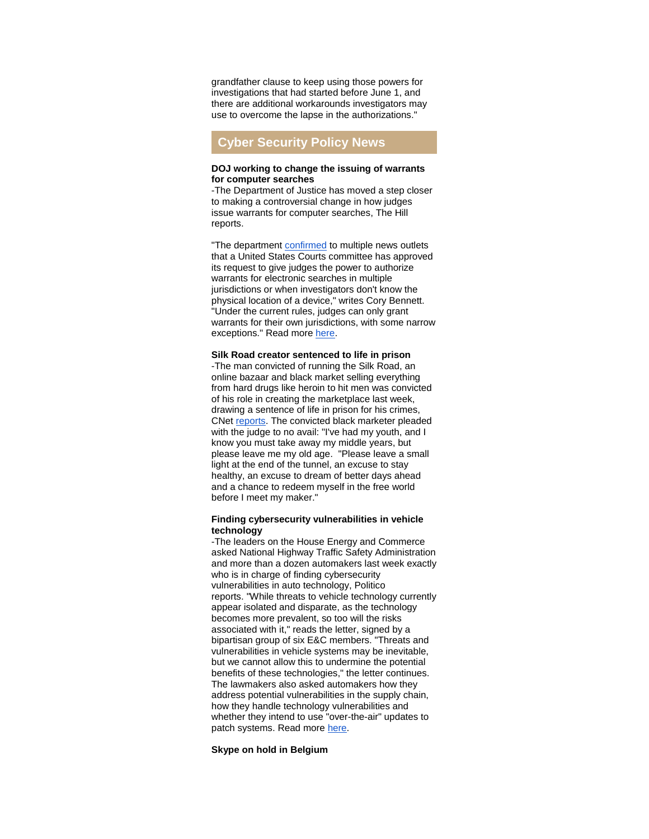grandfather clause to keep using those powers for investigations that had started before June 1, and there are additional workarounds investigators may use to overcome the lapse in the authorizations."

# **Cyber Security Policy News**

#### **DOJ working to change the issuing of warrants for computer searches**

-The Department of Justice has moved a step closer to making a controversial change in how judges issue warrants for computer searches, The Hill reports.

"The department [confirmed](http://r20.rs6.net/tn.jsp?f=001j4NONo36K4IxVdtoiKiuJpOChzHDe7Jo1cDhww8nlfrUK2cw71Swyo_21OWT6JU3fsGDq3TzGLhg5cIk1Um2bJmk3EpW-u-ErIjMz8L6fTZ50l7zU7fur0KENXmlg1EO88pKlS5Iu3X4dzrsy3lVO9315J8zt3O80ugFhf955nSuA6RDjDV_2-t-kclgg7kpqqk_EZSXaYEticC2ekuWrSpDld2PLNsx_4LCSaCDC8lsg6MCvhFfjtkGOniNRvYQN_uOM7Cu3hk=&c=LYNYJaw69N6_BURhZWFqFLEfSdx1RDRojvNVtUEnH-SBh3GBhHvQ7A==&ch=yRBJZBUDJBHRIF-tH1RdYO5d6WLKFZU6DLss9PjB4bF6N3ONiWBX_g==) to multiple news outlets that a United States Courts committee has approved its request to give judges the power to authorize warrants for electronic searches in multiple jurisdictions or when investigators don't know the physical location of a device," writes Cory Bennett. "Under the current rules, judges can only grant warrants for their own jurisdictions, with some narrow exceptions." Read more [here.](http://r20.rs6.net/tn.jsp?f=001j4NONo36K4IxVdtoiKiuJpOChzHDe7Jo1cDhww8nlfrUK2cw71Swyo_21OWT6JU3OTtV11oQxFmwnJjzItHZh5OkEqnXSAxM3y4kd5wqyVqJuF-GS62kA2R24Sk9hVAxb08VQUlylkaUj52WpnfQRQaAJfdynpnZKVFbnLIyp717L4LetP_97Fh6uZeV-amLELyb3vAk3vRk_6KCK8oECtEWljhWId2eOQ4SFnHFfW-U0rmH7nwtdd7H4Z2GP6Ovt64bxA4erwt4MEbnZEypGg==&c=LYNYJaw69N6_BURhZWFqFLEfSdx1RDRojvNVtUEnH-SBh3GBhHvQ7A==&ch=yRBJZBUDJBHRIF-tH1RdYO5d6WLKFZU6DLss9PjB4bF6N3ONiWBX_g==)

#### **Silk Road creator sentenced to life in prison**

-The man convicted of running the Silk Road, an online bazaar and black market selling everything from hard drugs like heroin to hit men was convicted of his role in creating the marketplace last week, drawing a sentence of life in prison for his crimes, CNet [reports.](http://r20.rs6.net/tn.jsp?f=001j4NONo36K4IxVdtoiKiuJpOChzHDe7Jo1cDhww8nlfrUK2cw71Swyo_21OWT6JU3x1MUFi3cwaJRnsUyL8uQh3TSpJPr53gTPMk-3VnCsM0njBX0UYNoc20eWqi4AWEtUXxoCxYL08InXZP7n5P8YmtjE80grMRohLP3Dl07RZW4neqnckbR_4yngHyMGBIGQ8Z13tGMHnIvr3s3jsQvYkGFK6ZW_BjETXC41iLrEjL-SgW9Rvk4wNHsvMT8kEa9d7Vs7pvmVsekw0C_-jUEqg==&c=LYNYJaw69N6_BURhZWFqFLEfSdx1RDRojvNVtUEnH-SBh3GBhHvQ7A==&ch=yRBJZBUDJBHRIF-tH1RdYO5d6WLKFZU6DLss9PjB4bF6N3ONiWBX_g==) The convicted black marketer pleaded with the judge to no avail: "I've had my youth, and I know you must take away my middle years, but please leave me my old age. "Please leave a small light at the end of the tunnel, an excuse to stay healthy, an excuse to dream of better days ahead and a chance to redeem myself in the free world before I meet my maker."

#### **Finding cybersecurity vulnerabilities in vehicle technology**

-The leaders on the House Energy and Commerce asked National Highway Traffic Safety Administration and more than a dozen automakers last week exactly who is in charge of finding cybersecurity vulnerabilities in auto technology, Politico reports. "While threats to vehicle technology currently appear isolated and disparate, as the technology becomes more prevalent, so too will the risks associated with it," reads the letter, signed by a bipartisan group of six E&C members. "Threats and vulnerabilities in vehicle systems may be inevitable, but we cannot allow this to undermine the potential benefits of these technologies," the letter continues. The lawmakers also asked automakers how they address potential vulnerabilities in the supply chain, how they handle technology vulnerabilities and whether they intend to use "over-the-air" updates to patch systems. Read more [here.](http://r20.rs6.net/tn.jsp?f=001j4NONo36K4IxVdtoiKiuJpOChzHDe7Jo1cDhww8nlfrUK2cw71Swyo_21OWT6JU3WCkDMpG9Ceu9SwWfBX5zDwyj9PEdBazOOIPY22VwQhXl18EZsI0jNVGXI0BydRttaIiBwOL5T84qVEt1veZJ4j-QkOmbMOaEsXuUxBb_siv619q22Y4_mnv450K9LNOJgmsOlinunSgsChIGOvvHHw37-9btyfaFeC5Qxx_KB_AL5kP11gI3Uh8ZIN7ftDMEPYOH0iKZTlRjp-pqKuP09DxQL9olKqB-SEQX_Kq6deE=&c=LYNYJaw69N6_BURhZWFqFLEfSdx1RDRojvNVtUEnH-SBh3GBhHvQ7A==&ch=yRBJZBUDJBHRIF-tH1RdYO5d6WLKFZU6DLss9PjB4bF6N3ONiWBX_g==)

### **Skype on hold in Belgium**